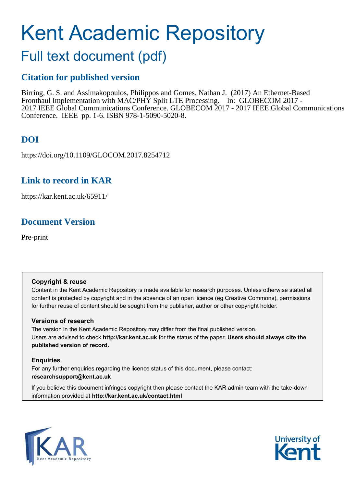# Kent Academic Repository

# Full text document (pdf)

### **Citation for published version**

Birring, G. S. and Assimakopoulos, Philippos and Gomes, Nathan J. (2017) An Ethernet-Based Fronthaul Implementation with MAC/PHY Split LTE Processing. In: GLOBECOM 2017 - 2017 IEEE Global Communications Conference. GLOBECOM 2017 - 2017 IEEE Global Communications Conference. IEEE pp. 1-6. ISBN 978-1-5090-5020-8.

# **DOI**

https://doi.org/10.1109/GLOCOM.2017.8254712

### **Link to record in KAR**

https://kar.kent.ac.uk/65911/

## **Document Version**

Pre-print

#### **Copyright & reuse**

Content in the Kent Academic Repository is made available for research purposes. Unless otherwise stated all content is protected by copyright and in the absence of an open licence (eg Creative Commons), permissions for further reuse of content should be sought from the publisher, author or other copyright holder.

#### **Versions of research**

The version in the Kent Academic Repository may differ from the final published version. Users are advised to check **http://kar.kent.ac.uk** for the status of the paper. **Users should always cite the published version of record.**

#### **Enquiries**

For any further enquiries regarding the licence status of this document, please contact: **researchsupport@kent.ac.uk**

If you believe this document infringes copyright then please contact the KAR admin team with the take-down information provided at **http://kar.kent.ac.uk/contact.html**



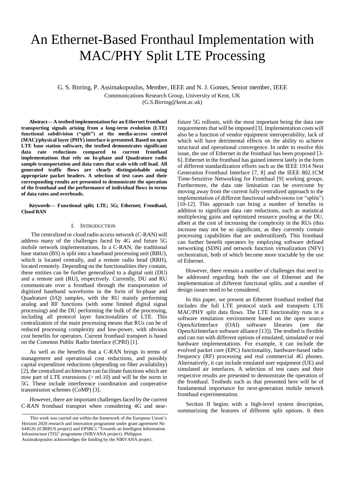# An Ethernet-Based Fronthaul Implementation with MAC/PHY Split LTE Processing

G. S. Birring, P. Assimakopoulos, Member, IEEE and N. J. Gomes, Senior member, IEEE

Communications Research Group, University of Kent, UK (G.S.Birring@kent.ac.uk)

**Abstract— A testbed implementation for an Ethernet fronthaul transporting signals arising from a long-term evolution (LTE) functional subdivision ("split") at the media-access control (MAC)/physical layer (PHY) interface is presented. Based on open LTE base station software, the testbed demonstrates significant data rate reductions compared to current fronthaul implementations that rely on In-phase and Quadrature radio sample transportation and data rates that scale with cell load. All generated traffic flows are clearly distinguishable using appropriate packet headers. A selection of test cases and their corresponding results are presented to demonstrate the operation of the fronthaul and the performance of individual flows in terms of data rates and overheads.** 

**Keywords***—* **Functional split; LTE; 5G; Ethernet; Fronthaul, Cloud RAN** 

#### I. INTRODUCTION

 The centralized or cloud radio access network (C-RAN) will address many of the challenges faced by 4G and future 5G mobile network implementations. In a C-RAN, the traditional base station (BS) is split into a baseband processing unit (BBU), which is located centrally, and a remote radio head (RRH), located remotely. Depending on the functionalities they contain, these entities can be further generalized to a digital unit (DU) and a remote unit (RU), respectively. Currently, DU and RU communicate over a fronthaul through the transportation of digitized baseband waveforms in the form of In-phase and Quadrature (I/Q) samples, with the RU mainly performing analog and RF functions (with some limited digital signal processing) and the DU performing the bulk of the processing, including all protocol layer functionalities of LTE. This centralization of the main processing means that RUs can be of reduced processing complexity and low-power, with obvious cost benefits for operators. Current fronthaul transport is based on the Common Public Radio Interface (CPRI) [1].

As well as the benefits that a C-RAN brings in terms of management and operational cost reductions, and possibly capital expenditure reductions (depending on fiber availability) [2], the centralized architecture can facilitate functions which are now part of LTE extensions (> rel.10) and will be the norm in 5G. These include interference coordination and cooperative transmission schemes (CoMP) [3].

However, there are important challenges faced by the current C-RAN fronthaul transport when considering 4G and near-

future 5G rollouts, with the most important being the data rate requirements that will be imposed [3]. Implementation costs will also be a function of vendor equipment interoperability, lack of which will have detrimental effects on the ability to achieve structural and operational convergence. In order to resolve this issue, the use of Ethernet in the fronthaul has been proposed [3- 6]. Ethernet in the fronthaul has gained interest lately in the form of different standardization efforts such as the IEEE 1914 Next Generation Fronthaul Interface [7, 8] and the IEEE 802.1CM Time-Sensitive Networking for Fronthaul [9] working groups. Furthermore, the data rate limitation can be overcome by moving away from the current fully centralized approach to the implementation of different functional subdivisions (or "splits") [10-12]. This approach can bring a number of benefits in addition to significant data rate reductions, such as statistical multiplexing gains and optimized resource pooling at the DU, albeit at the cost of increasing the complexity in the RUs (this increase may not be so significant, as they currently contain processing capabilities that are underutilized). This fronthaul can further benefit operators by employing software defined networking (SDN) and network function virtualization (NFV) orchestration, both of which become more tractable by the use of Ethernet.

However, there remain a number of challenges that need to be addressed regarding both the use of Ethernet and the implementation of different functional splits, and a number of design issues need to be considered.

In this paper, we present an Ethernet fronthaul testbed that includes the full LTE protocol stack and transports LTE MAC/PHY split data flows. The LTE functionality runs in a software emulation environment based on the open source OpenAirInterface (OAI) software libraries (see the OpenAirInterface software alliance [13]). The testbed is flexible and can run with different options of emulated, simulated or real hardware implementations. For example, it can include the evolved packet core (EPC) functionality, hardware-based radio frequency (RF) processing and real commercial 4G phones. Alternatively, it can include emulated user equipment (UE) and simulated air interfaces. A selection of test cases and their respective results are presented to demonstrate the operation of the fronthaul. Testbeds such as that presented here will be of fundamental importance for next-generation mobile network fronthaul experimentation.

Section II begins with a high-level system description, summarizing the features of different split options. It then

This work was carried out within the framework of the European Union's Horizon 2020 research and innovation programme under grant agreement No 644526 (iCIRRUS project) and EPSRCs "Towards an Intelligent Information Infrastructure (TI3)" programme (NIRVANA project). Philippos Assimakopoulos acknowledges the funding by the NIRVANA project.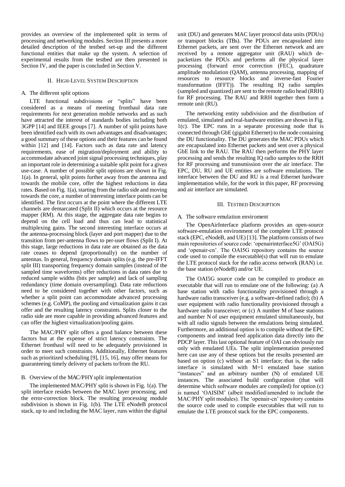provides an overview of the implemented split in terms of processing and networking modules. Section III presents a more detailed description of the testbed set-up and the different functional entities that make up the system. A selection of experimental results from the testbed are then presented in Section IV, and the paper is concluded in Section V.

#### II. HIGH-LEVEL SYSTEM DESCRIPTION

#### A. The different split options

LTE functional subdivisions or "splits" have been considered as a means of meeting fronthaul data rate requirements for next generation mobile networks and as such have attracted the interest of standards bodies including both 3GPP [14] and IEEE groups [7]. A number of split points have been identified each with its own advantages and disadvantages; a good summary of these options and their features can be found within [12] and [14]. Factors such as data rate and latency requirements, ease of migration/deployment and ability to accommodate advanced joint signal processing techniques, play an important role in determining a suitable split point for a given use-case. A number of possible split options are shown in Fig. 1(a). In general, split points further away from the antenna and towards the mobile core, offer the highest reductions in data rates. Based on Fig. 1(a), starting from the radio side and moving towards the core, a number of interesting interface points can be identified. The first occurs at the point where the different LTE channels are demarcated (Split II) which occurs at the resource mapper (RM). At this stage, the aggregate data rate begins to depend on the cell load and thus can lead to statistical multiplexing gains. The second interesting interface occurs at the antenna-processing block (layer and port mapper) due to the transition from per-antenna flows to per-user flows (Split I). At this stage, large reductions in data rate are obtained as the data rate ceases to depend (proportionally) on the number of antennas. In general, frequency domain splits (e.g. the pre-IFFT split III) transporting frequency domain samples (instead of the sampled time waveforms) offer reductions in data rates due to reduced sample widths (bits per sample) and lack of sampling redundancy (time domain oversampling). Data rate reductions need to be considered together with other factors, such as whether a split point can accommodate advanced processing schemes (e.g. CoMP), the pooling and virtualization gains it can offer and the resulting latency constraints. Splits closer to the radio side are more capable in providing advanced features and can offer the highest virtualization/pooling gains.

The MAC/PHY split offers a good balance between these factors but at the expense of strict latency constraints. The Ethernet fronthaul will need to be adequately provisioned in order to meet such constraints. Additionally, Ethernet features such as prioritized scheduling [9], [15, 16], may offer means for guaranteeing timely delivery of packets to/from the RU.

#### B. Overview of the MAC/PHY split implementation

The implemented MAC/PHY split is shown in Fig. 1(a). The split interface resides between the MAC layer processing, and the error-correction block. The resulting processing module subdivision is shown in Fig. 1(b). The LTE eNodeB protocol stack, up to and including the MAC layer, runs within the digital unit (DU) and generates MAC layer protocol data units (PDUs) or transport blocks (TBs). The PDUs are encapsulated into Ethernet packets, are sent over the Ethernet network and are received by a remote aggregator unit (RAU) which depacketizes the PDUs and performs all the physical layer processing (forward error correction (FEC), quadrature amplitude modulation (QAM), antenna processing, mapping of resources to resource blocks and inverse-fast Fourier transformation (IFFT)). The resulting IQ radio samples (sampled and quantized) are sent to the remote radio head (RRH) for RF processing. The RAU and RRH together then form a remote unit (RU).

The networking entity subdivision and the distribution of emulated, simulated and real-hardware entities are shown in Fig. 1(c). The EPC runs in a separate processing node that is connected through GbE (gigabit Ethernet) to the node containing the DU functionality. The DU generates the MAC PDUs which are encapsulated into Ethernet packets and sent over a physical GbE link to the RAU. The RAU then performs the PHY layer processing and sends the resulting IQ radio samples to the RRH for RF processing and transmission over the air interface. The EPC, DU, RU and UE entities are software emulations. The interface between the DU and RU is a real Ethernet hardware implementation while, for the work in this paper, RF processing and air interface are simulated.

#### III. TESTBED DESCRIPTION

#### A. The software emulation enviroment

The OpenAirInterface platform provides an open-source software-emulation environment of the complete LTE protocol stack (EPC, eNodeB, and UE) [13]. The platform consists of two main repositories of source code: 'openairinterface5G' (OAI5G) and 'openair-cn'. The OAI5G repository contains the source code used to compile the executable(s) that will run to emulate the LTE protocol stack for the radio access network (RAN) i.e. the base station (eNodeB) and/or UE.

The OAI5G source code can be compiled to produce an executable that will run to emulate one of the following: (a) A base station with radio functionality provisioned through a hardware radio transceiver (e.g. a software-defined radio); (b) A user equipment with radio functionality provisioned through a hardware radio transceiver; or (c) A number M of base stations and number N of user equipment emulated simultaneously, but with all radio signals between the emulations being simulated. Furthermore, an additional option is to compile without the EPC components and instead feed application data directly into the PDCP layer. This last optional feature of OAI can obviously run only with emulated UEs. The split implementation presented here can use any of these options but the results presented are based on option (c) without an S1 interface; that is, the radio interface is simulated with M=1 emulated base station "instances" and an arbitrary number (N) of emulated UE instances. The associated build configuration (that will determine which software modules are compiled) for option (c) is named 'OAISIM' (albeit modified/amended to include the MAC/PHY split modules). The 'openair-cn' repository contains the source code used to compile executables that will run to emulate the LTE protocol stack for the EPC components.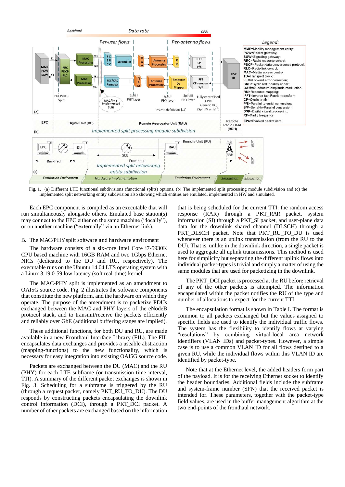

Fig. 1. (a) Different LTE functional subdivisions (functional splits) options, (b) The implemented split processing module subdivision and (c) the implemented split networking entity subdivision also showing which entities are emulated, implemented in HW and simulated.

Each EPC component is compiled as an executable that will run simultaneously alongside others. Emulated base station(s) may connect to the EPC either on the same machine ("locally"), or on another machine ("externally" via an Ethernet link).

#### B. The MAC/PHY split software and hardware enviroment

The hardware consists of a six-core Intel Core i7-5930K CPU based machine with 16GB RAM and two 1Gbps Ethernet NICs (dedicated to the DU and RU, respectively). The executable runs on the Ubuntu 14.04 LTS operating system with a Linux 3.19.0-59 low-latency (soft real-time) kernel.

The MAC-PHY split is implemented as an amendment to OAI5G source code. Fig. 2 illustrates the software components that constitute the new platform, and the hardware on which they operate. The purpose of the amendment is to packetize PDUs exchanged between the MAC and PHY layers of the eNodeB protocol stack, and to transmit/receive the packets efficiently and reliably over GbE (additional buffering stages are implied).

These additional functions, for both DU and RU, are made available in a new Fronthaul Interface Library (FIL). The FIL encapsulates data exchanges and provides a useable abstraction (mapping-functions) to the new functionality, which is necessary for easy integration into existing OAI5G source code.

Packets are exchanged between the DU (MAC) and the RU (PHY) for each LTE subframe (or transmission time interval, TTI). A summary of the different packet exchanges is shown in Fig. 3. Scheduling for a subframe is triggered by the RU (through a request packet, namely PKT\_RU\_TO\_DU). The DU responds by constructing packets encapsulating the downlink control information (DCI), through a PKT\_DCI packet. A number of other packets are exchanged based on the information

that is being scheduled for the current TTI: the random access response (RAR) through a PKT\_RAR packet, system information (SI) through a PKT\_SI packet, and user-plane data data for the downlink shared channel (DLSCH) through a PKT\_DLSCH\_packet. Note that PKT\_RU\_TO\_DU\_is\_used whenever there is an uplink transmission (from the RU to the DU). That is, unlike in the downlink direction, a single packet is used to aggregate all uplink transmissions. This method is used here for simplicity but separating the different uplink flows into individual packet-types is trivial and simply a matter of using the same modules that are used for packetizing in the downlink.

The PKT DCI packet is processed at the RU before retrieval of any of the other packets is attempted. The information encapsulated within the packet notifies the RU of the type and number of allocations to expect for the current TTI.

The encapsulation format is shown in Table I. The format is common to all packets exchanged but the values assigned to specific fields are used to identify the individual traffic flows. The system has the flexibility to identify flows at varying "resolutions" by combining virtual-local area network identifiers (VLAN IDs) and packet-types. However, a simple case is to use a common VLAN ID for all flows destined to a given RU, while the individual flows within this VLAN ID are identified by packet-type.

Note that at the Ethernet level, the added headers form part of the payload. It is for the receiving Ethernet socket to identify the header boundaries. Additional fields include the subframe and system-frame number (SFN) that the received packet is intended for. These parameters, together with the packet-type field values, are used in the buffer management algorithm at the two end-points of the fronthaul network.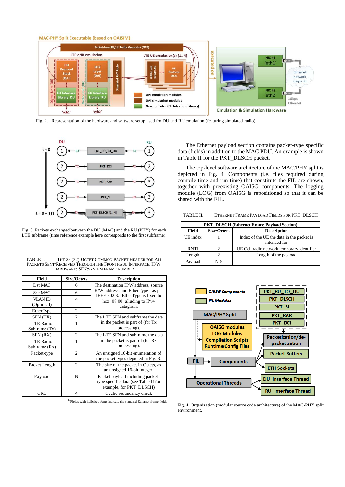

Fig. 2. Representation of the hardware and software setup used for DU and RU emulation (featuring simulated radio).



Fig. 3. Packets exchanged between the DU (MAC) and the RU (PHY) for each LTE subframe (time reference example here corresponds to the first subframe).

TABLE I. THE 28 (32)-OCTET COMMON PACKET HEADER FOR ALL PACKETS SENT/RECEIVED THROUGH THE FRONTHAUL INTERFACE. H/W: HARDWARE; SFN:SYSTEM FRAME NUMBER

| Field                        | <b>Size/Octets</b> | <b>Description</b>                                                                                                                                            |
|------------------------------|--------------------|---------------------------------------------------------------------------------------------------------------------------------------------------------------|
| Dst MAC                      | 6                  | The destination H/W address, source<br>H/W address, and EtherType - as per<br>IEEE 802.3. EtherType is fixed to<br>hex $'0800'$ alluding to IPv4<br>datagram. |
| <b>Src MAC</b>               | 6                  |                                                                                                                                                               |
| VLAN ID<br>(Optional)        | 4                  |                                                                                                                                                               |
| <b>EtherType</b>             | 2                  |                                                                                                                                                               |
| SFN (TX)                     | $\overline{c}$     | The LTE SFN and subframe the data<br>in the packet is part of (for Tx)<br>processing).                                                                        |
| LTE Radio<br>Subframe (Tx)   | 1                  |                                                                                                                                                               |
| SFN (RX)                     | 2                  | The LTE SFN and subframe the data<br>in the packet is part of (for Rx<br>processing).                                                                         |
| LTE Radio<br>Subframe $(Rx)$ | 1                  |                                                                                                                                                               |
| Packet-type                  | $\overline{2}$     | An unsigned 16-bit enumeration of<br>the packet types depicted in Fig. 3.                                                                                     |
| Packet Length                | $\overline{c}$     | The size of the packet in Octets, as<br>an unsigned 16-bit integer.                                                                                           |
| Payload                      | N                  | Packet payload including packet-<br>type specific data (see Table II for<br>example, for PKT_DLSCH)                                                           |
| CRC                          | 4                  | Cyclic redundancy check                                                                                                                                       |

<sup>a.</sup> Fields with italicized fonts indicate the standard Ethernet frame fields

The Ethernet payload section contains packet-type specific data (fields) in addition to the MAC PDU. An example is shown in Table II for the PKT\_DLSCH packet.

The top-level software architecture of the MAC/PHY split is depicted in Fig. 4. Components (i.e. files required during compile-time and run-time) that constitute the FIL are shown, together with preexisting OAI5G components. The logging module (LOG) from OAI5G is repositioned so that it can be shared with the FIL.

TABLE II. ETHERNET FRAME PAYLOAD FIELDS FOR PKT\_DLSCH

| <b>PKT DLSCH (Ethernet Frame Payload Section)</b> |                    |                                                           |  |
|---------------------------------------------------|--------------------|-----------------------------------------------------------|--|
| <b>Field</b>                                      | <b>Size/Octets</b> | <b>Description</b>                                        |  |
| UE index                                          |                    | Index of the UE the data in the packet is<br>intended for |  |
| <b>RNTI</b>                                       |                    | UE Cell radio network temporary identifier                |  |
| Length                                            |                    | Length of the payload                                     |  |
| Payload                                           | N-5                |                                                           |  |



Fig. 4. Organization (modular source code architecture) of the MAC-PHY split environment.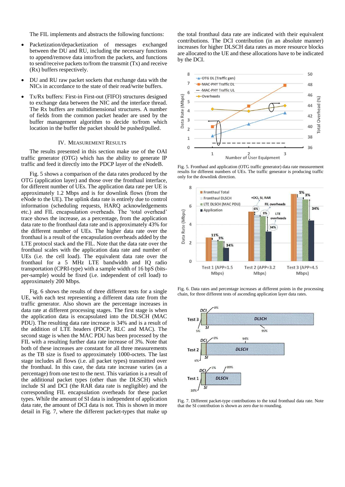The FIL implements and abstracts the following functions:

- Packetization/depacketization of messages exchanged between the DU and RU, including the necessary functions to append/remove data into/from the packets, and functions to send/receive packets to/from the transmit (Tx) and receive (Rx) buffers respectively.
- DU and RU raw packet sockets that exchange data with the NICs in accordance to the state of their read/write buffers.
- Tx/Rx buffers: First-in First-out (FIFO) structures designed to exchange data between the NIC and the interface thread. The Rx buffers are multidimensional structures. A number of fields from the common packet header are used by the buffer management algorithm to decide to/from which location in the buffer the packet should be pushed/pulled.

#### IV. MEASUREMENT RESULTS

The results presented in this section make use of the OAI traffic generator (OTG) which has the ability to generate IP traffic and feed it directly into the PDCP layer of the eNodeB.

Fig. 5 shows a comparison of the data rates produced by the OTG (application layer) and those over the fronthaul interface, for different number of UEs. The application data rate per UE is approximately 1.2 Mbps and is for downlink flows (from the eNode to the UE). The uplink data rate is entirely due to control information (scheduling requests, HARQ acknowledgements etc.) and FIL encapsulation overheads. The 'total overhead' trace shows the increase, as a percentage, from the application data rate to the fronthaul data rate and is approximately 43% for the different number of UEs. The higher data rate over the fronthaul is a result of the encapsulation overheads added by the LTE protocol stack and the FIL. Note that the data rate over the fronthaul scales with the application data rate and number of UEs (i.e. the cell load). The equivalent data rate over the fronthaul for a 5 MHz LTE bandwidth and IQ radio transportation (CPRI-type) with a sample width of 16 bpS (bitsper-sample) would be fixed (i.e. independent of cell load) to approximately 200 Mbps.

Fig. 6 shows the results of three different tests for a single UE, with each test representing a different data rate from the traffic generator. Also shown are the percentage increases in data rate at different processing stages. The first stage is when the application data is encapsulated into the DLSCH (MAC PDU). The resulting data rate increase is 34% and is a result of the addition of LTE headers (PDCP, RLC and MAC). The second stage is when the MAC PDU has been processed by the FIL with a resulting further data rate increase of 3%. Note that both of these increases are constant for all three measurements as the TB size is fixed to approximately 1000-octets. The last stage includes all flows (i.e. all packet types) transmitted over the fronthaul. In this case, the data rate increase varies (as a percentage) from one test to the next. This variation is a result of the additional packet types (other than the DLSCH) which include SI and DCI (the RAR data rate is negligible) and the corresponding FIL encapsulation overheads for these packet types. While the amount of SI data is independent of application data rate, the amount of DCI data is not. This is shown in more detail in Fig. 7, where the different packet-types that make up

the total fronthaul data rate are indicated with their equivalent contributions. The DCI contribution (in an absolute manner) increases for higher DLSCH data rates as more resource blocks are allocated to the UE and these allocations have to be indicated by the DCI.



Fig. 5. Fronthaul and application (OTG traffic generator) data rate measurement results for different numbers of UEs. The traffic generator is producing traffic only for the downlink direction.



Fig. 6. Data rates and percentage increases at different points in the processing chain, for three different tests of ascending application layer data rates.



Fig. 7. Different packet-type contributions to the total fronthaul data rate. Note that the SI contribution is shown as zero due to rounding.